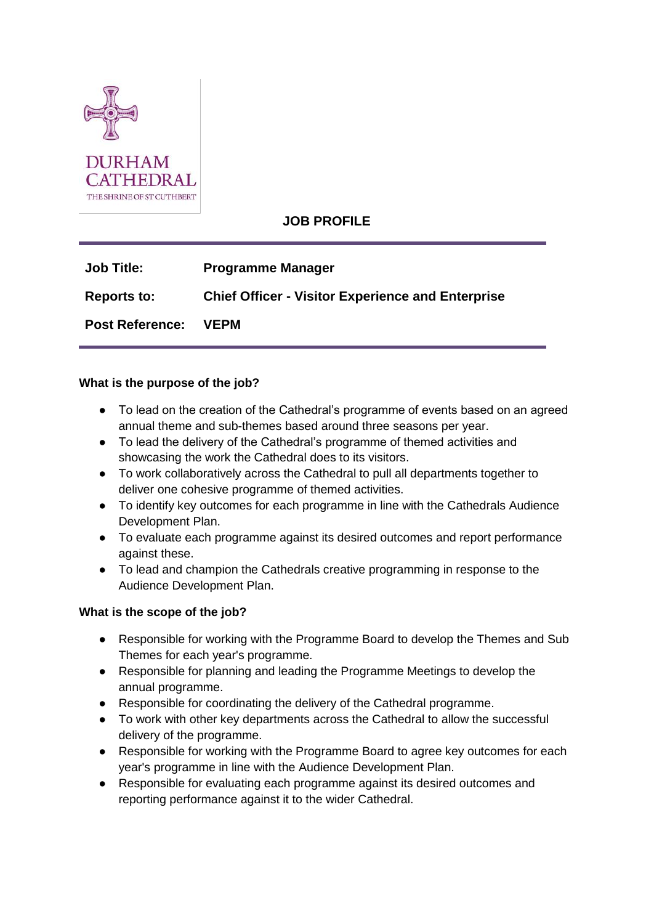

# **JOB PROFILE**

| <b>Job Title:</b>      | <b>Programme Manager</b>                                 |
|------------------------|----------------------------------------------------------|
| <b>Reports to:</b>     | <b>Chief Officer - Visitor Experience and Enterprise</b> |
| <b>Post Reference:</b> | <b>VEPM</b>                                              |

#### **What is the purpose of the job?**

- To lead on the creation of the Cathedral's programme of events based on an agreed annual theme and sub-themes based around three seasons per year.
- To lead the delivery of the Cathedral's programme of themed activities and showcasing the work the Cathedral does to its visitors.
- To work collaboratively across the Cathedral to pull all departments together to deliver one cohesive programme of themed activities.
- To identify key outcomes for each programme in line with the Cathedrals Audience Development Plan.
- To evaluate each programme against its desired outcomes and report performance against these.
- To lead and champion the Cathedrals creative programming in response to the Audience Development Plan.

#### **What is the scope of the job?**

- Responsible for working with the Programme Board to develop the Themes and Sub Themes for each year's programme.
- Responsible for planning and leading the Programme Meetings to develop the annual programme.
- Responsible for coordinating the delivery of the Cathedral programme.
- To work with other key departments across the Cathedral to allow the successful delivery of the programme.
- Responsible for working with the Programme Board to agree key outcomes for each year's programme in line with the Audience Development Plan.
- Responsible for evaluating each programme against its desired outcomes and reporting performance against it to the wider Cathedral.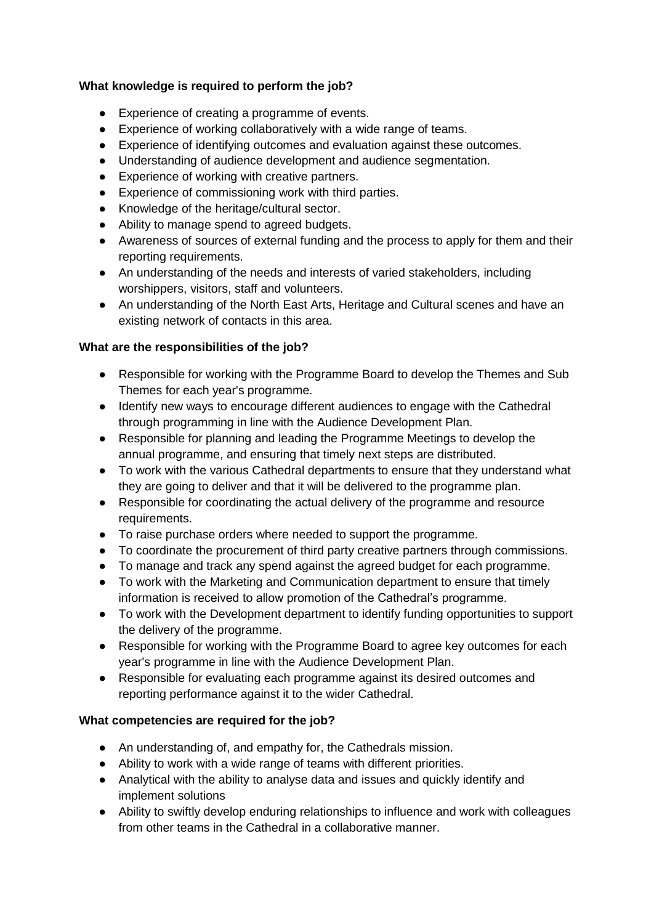### **What knowledge is required to perform the job?**

- Experience of creating a programme of events.
- Experience of working collaboratively with a wide range of teams.
- Experience of identifying outcomes and evaluation against these outcomes.
- Understanding of audience development and audience segmentation.
- Experience of working with creative partners.
- Experience of commissioning work with third parties.
- Knowledge of the heritage/cultural sector.
- Ability to manage spend to agreed budgets.
- Awareness of sources of external funding and the process to apply for them and their reporting requirements.
- An understanding of the needs and interests of varied stakeholders, including worshippers, visitors, staff and volunteers.
- An understanding of the North East Arts, Heritage and Cultural scenes and have an existing network of contacts in this area.

## **What are the responsibilities of the job?**

- Responsible for working with the Programme Board to develop the Themes and Sub Themes for each year's programme.
- Identify new ways to encourage different audiences to engage with the Cathedral through programming in line with the Audience Development Plan.
- Responsible for planning and leading the Programme Meetings to develop the annual programme, and ensuring that timely next steps are distributed.
- To work with the various Cathedral departments to ensure that they understand what they are going to deliver and that it will be delivered to the programme plan.
- Responsible for coordinating the actual delivery of the programme and resource requirements.
- To raise purchase orders where needed to support the programme.
- To coordinate the procurement of third party creative partners through commissions.
- To manage and track any spend against the agreed budget for each programme.
- To work with the Marketing and Communication department to ensure that timely information is received to allow promotion of the Cathedral's programme.
- To work with the Development department to identify funding opportunities to support the delivery of the programme.
- Responsible for working with the Programme Board to agree key outcomes for each year's programme in line with the Audience Development Plan.
- Responsible for evaluating each programme against its desired outcomes and reporting performance against it to the wider Cathedral.

### **What competencies are required for the job?**

- An understanding of, and empathy for, the Cathedrals mission.
- Ability to work with a wide range of teams with different priorities.
- Analytical with the ability to analyse data and issues and quickly identify and implement solutions
- Ability to swiftly develop enduring relationships to influence and work with colleagues from other teams in the Cathedral in a collaborative manner.